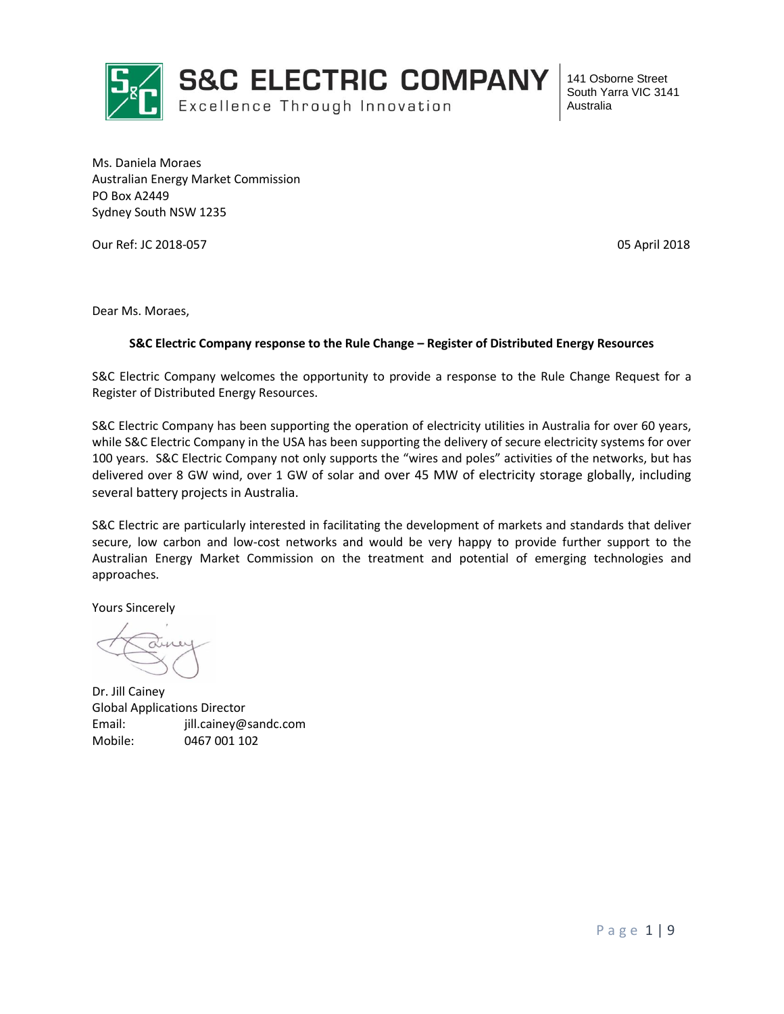

Ms. Daniela Moraes Australian Energy Market Commission PO Box A2449 Sydney South NSW 1235

Our Ref: JC 2018-057 05 April 2018

Dear Ms. Moraes,

#### **S&C Electric Company response to the Rule Change – Register of Distributed Energy Resources**

S&C Electric Company welcomes the opportunity to provide a response to the Rule Change Request for a Register of Distributed Energy Resources.

S&C Electric Company has been supporting the operation of electricity utilities in Australia for over 60 years, while S&C Electric Company in the USA has been supporting the delivery of secure electricity systems for over 100 years. S&C Electric Company not only supports the "wires and poles" activities of the networks, but has delivered over 8 GW wind, over 1 GW of solar and over 45 MW of electricity storage globally, including several battery projects in Australia.

S&C Electric are particularly interested in facilitating the development of markets and standards that deliver secure, low carbon and low-cost networks and would be very happy to provide further support to the Australian Energy Market Commission on the treatment and potential of emerging technologies and approaches.

Yours Sincerely

Dr. Jill Cainey Global Applications Director Email: jill.cainey@sandc.com Mobile: 0467 001 102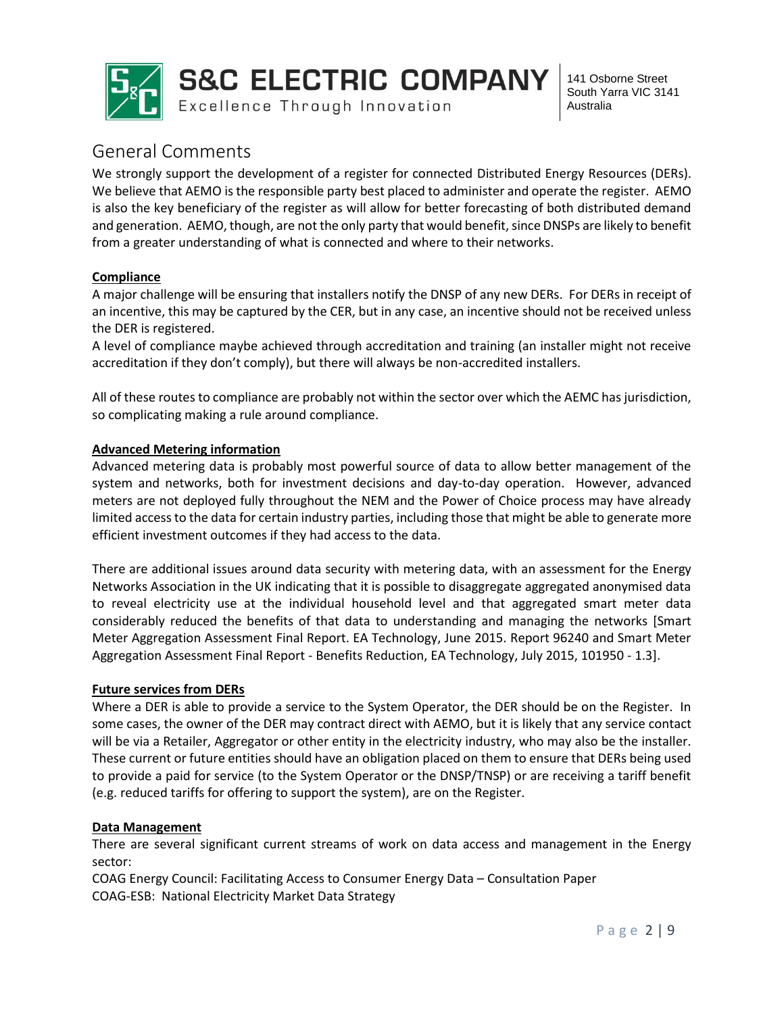

# General Comments

We strongly support the development of a register for connected Distributed Energy Resources (DERs). We believe that AEMO is the responsible party best placed to administer and operate the register. AEMO is also the key beneficiary of the register as will allow for better forecasting of both distributed demand and generation. AEMO, though, are not the only party that would benefit, since DNSPs are likely to benefit from a greater understanding of what is connected and where to their networks.

## **Compliance**

A major challenge will be ensuring that installers notify the DNSP of any new DERs. For DERs in receipt of an incentive, this may be captured by the CER, but in any case, an incentive should not be received unless the DER is registered.

A level of compliance maybe achieved through accreditation and training (an installer might not receive accreditation if they don't comply), but there will always be non-accredited installers.

All of these routes to compliance are probably not within the sector over which the AEMC has jurisdiction, so complicating making a rule around compliance.

## **Advanced Metering information**

Advanced metering data is probably most powerful source of data to allow better management of the system and networks, both for investment decisions and day-to-day operation. However, advanced meters are not deployed fully throughout the NEM and the Power of Choice process may have already limited access to the data for certain industry parties, including those that might be able to generate more efficient investment outcomes if they had access to the data.

There are additional issues around data security with metering data, with an assessment for the Energy Networks Association in the UK indicating that it is possible to disaggregate aggregated anonymised data to reveal electricity use at the individual household level and that aggregated smart meter data considerably reduced the benefits of that data to understanding and managing the networks [Smart Meter Aggregation Assessment Final Report. EA Technology, June 2015. Report 96240 and Smart Meter Aggregation Assessment Final Report - Benefits Reduction, EA Technology, July 2015, 101950 - 1.3].

## **Future services from DERs**

Where a DER is able to provide a service to the System Operator, the DER should be on the Register. In some cases, the owner of the DER may contract direct with AEMO, but it is likely that any service contact will be via a Retailer, Aggregator or other entity in the electricity industry, who may also be the installer. These current or future entities should have an obligation placed on them to ensure that DERs being used to provide a paid for service (to the System Operator or the DNSP/TNSP) or are receiving a tariff benefit (e.g. reduced tariffs for offering to support the system), are on the Register.

## **Data Management**

There are several significant current streams of work on data access and management in the Energy sector:

COAG Energy Council: Facilitating Access to Consumer Energy Data – Consultation Paper COAG-ESB: National Electricity Market Data Strategy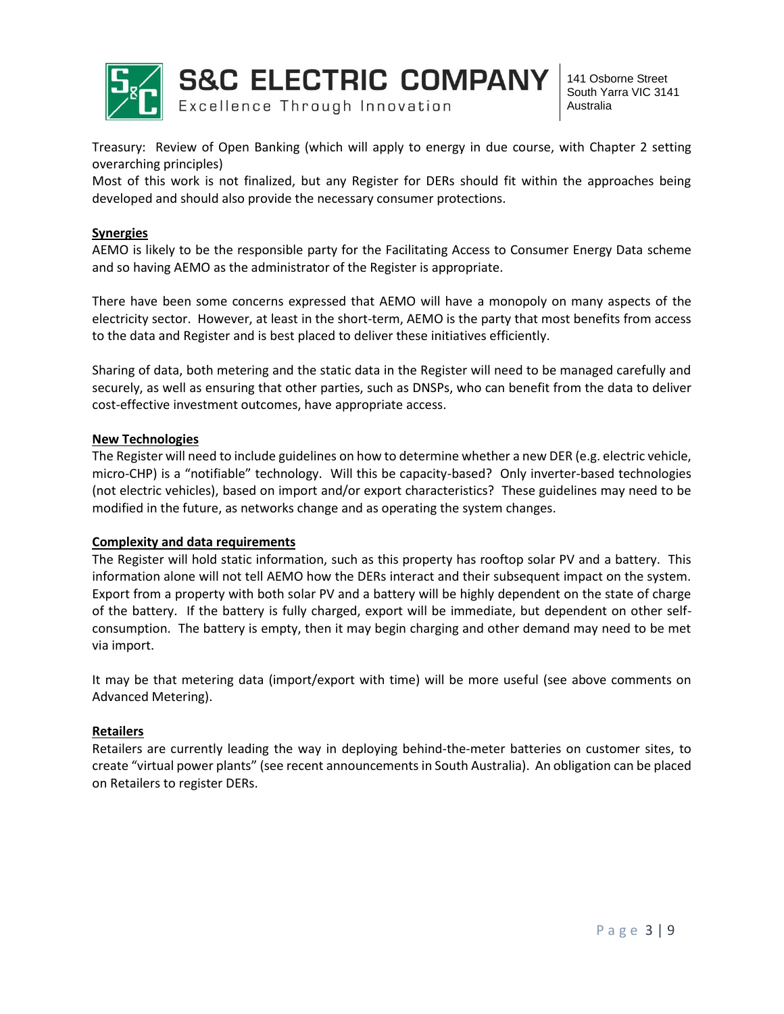

**S&C ELECTRIC COMPANY** Excellence Through Innovation

141 Osborne Street South Yarra VIC 3141 Australia

Treasury: Review of Open Banking (which will apply to energy in due course, with Chapter 2 setting overarching principles)

Most of this work is not finalized, but any Register for DERs should fit within the approaches being developed and should also provide the necessary consumer protections.

### **Synergies**

AEMO is likely to be the responsible party for the Facilitating Access to Consumer Energy Data scheme and so having AEMO as the administrator of the Register is appropriate.

There have been some concerns expressed that AEMO will have a monopoly on many aspects of the electricity sector. However, at least in the short-term, AEMO is the party that most benefits from access to the data and Register and is best placed to deliver these initiatives efficiently.

Sharing of data, both metering and the static data in the Register will need to be managed carefully and securely, as well as ensuring that other parties, such as DNSPs, who can benefit from the data to deliver cost-effective investment outcomes, have appropriate access.

### **New Technologies**

The Register will need to include guidelines on how to determine whether a new DER (e.g. electric vehicle, micro-CHP) is a "notifiable" technology. Will this be capacity-based? Only inverter-based technologies (not electric vehicles), based on import and/or export characteristics? These guidelines may need to be modified in the future, as networks change and as operating the system changes.

### **Complexity and data requirements**

The Register will hold static information, such as this property has rooftop solar PV and a battery. This information alone will not tell AEMO how the DERs interact and their subsequent impact on the system. Export from a property with both solar PV and a battery will be highly dependent on the state of charge of the battery. If the battery is fully charged, export will be immediate, but dependent on other selfconsumption. The battery is empty, then it may begin charging and other demand may need to be met via import.

It may be that metering data (import/export with time) will be more useful (see above comments on Advanced Metering).

### **Retailers**

Retailers are currently leading the way in deploying behind-the-meter batteries on customer sites, to create "virtual power plants" (see recent announcements in South Australia). An obligation can be placed on Retailers to register DERs.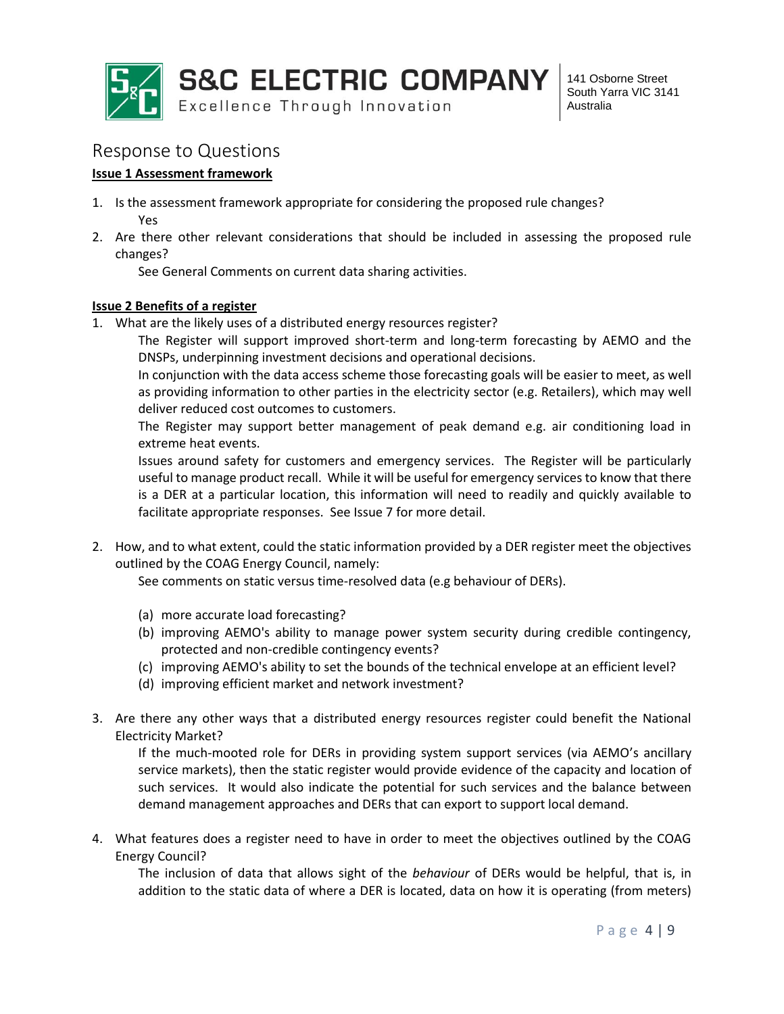

# Response to Questions

## **Issue 1 Assessment framework**

- 1. Is the assessment framework appropriate for considering the proposed rule changes? Yes
- 2. Are there other relevant considerations that should be included in assessing the proposed rule changes?

See General Comments on current data sharing activities.

## **Issue 2 Benefits of a register**

1. What are the likely uses of a distributed energy resources register?

The Register will support improved short-term and long-term forecasting by AEMO and the DNSPs, underpinning investment decisions and operational decisions.

In conjunction with the data access scheme those forecasting goals will be easier to meet, as well as providing information to other parties in the electricity sector (e.g. Retailers), which may well deliver reduced cost outcomes to customers.

The Register may support better management of peak demand e.g. air conditioning load in extreme heat events.

Issues around safety for customers and emergency services. The Register will be particularly useful to manage product recall. While it will be useful for emergency services to know that there is a DER at a particular location, this information will need to readily and quickly available to facilitate appropriate responses. See Issue 7 for more detail.

2. How, and to what extent, could the static information provided by a DER register meet the objectives outlined by the COAG Energy Council, namely:

See comments on static versus time-resolved data (e.g behaviour of DERs).

- (a) more accurate load forecasting?
- (b) improving AEMO's ability to manage power system security during credible contingency, protected and non-credible contingency events?
- (c) improving AEMO's ability to set the bounds of the technical envelope at an efficient level?
- (d) improving efficient market and network investment?
- 3. Are there any other ways that a distributed energy resources register could benefit the National Electricity Market?

If the much-mooted role for DERs in providing system support services (via AEMO's ancillary service markets), then the static register would provide evidence of the capacity and location of such services. It would also indicate the potential for such services and the balance between demand management approaches and DERs that can export to support local demand.

4. What features does a register need to have in order to meet the objectives outlined by the COAG Energy Council?

The inclusion of data that allows sight of the *behaviour* of DERs would be helpful, that is, in addition to the static data of where a DER is located, data on how it is operating (from meters)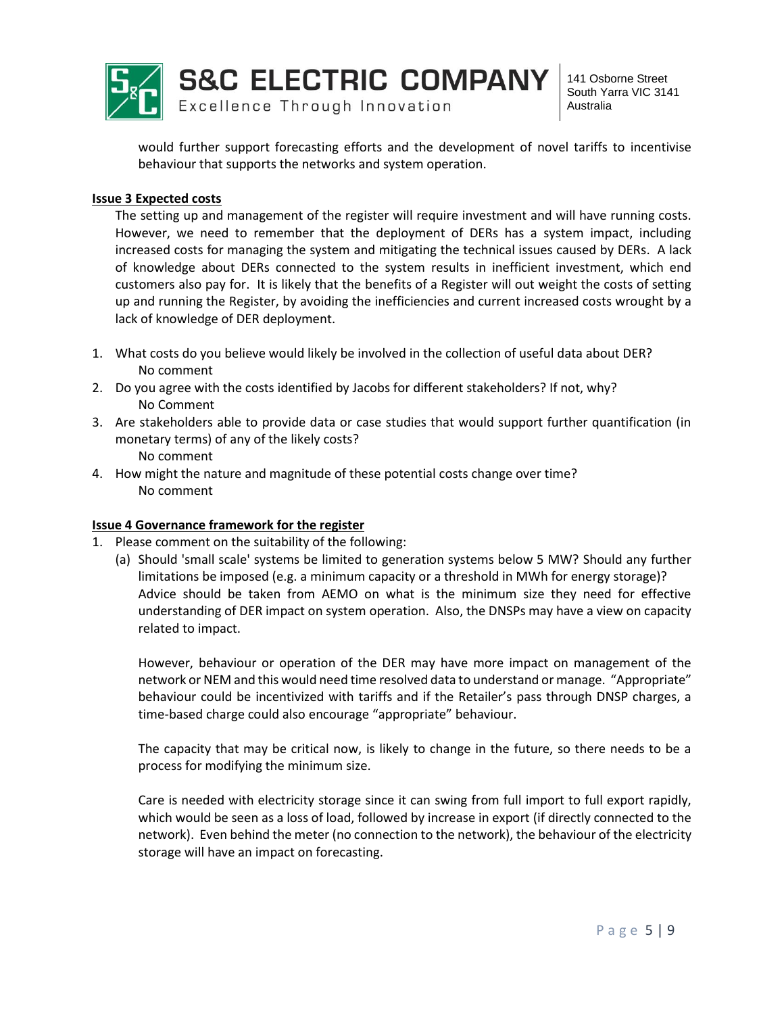

would further support forecasting efforts and the development of novel tariffs to incentivise behaviour that supports the networks and system operation.

#### **Issue 3 Expected costs**

The setting up and management of the register will require investment and will have running costs. However, we need to remember that the deployment of DERs has a system impact, including increased costs for managing the system and mitigating the technical issues caused by DERs. A lack of knowledge about DERs connected to the system results in inefficient investment, which end customers also pay for. It is likely that the benefits of a Register will out weight the costs of setting up and running the Register, by avoiding the inefficiencies and current increased costs wrought by a lack of knowledge of DER deployment.

- 1. What costs do you believe would likely be involved in the collection of useful data about DER? No comment
- 2. Do you agree with the costs identified by Jacobs for different stakeholders? If not, why? No Comment
- 3. Are stakeholders able to provide data or case studies that would support further quantification (in monetary terms) of any of the likely costs? No comment
- 4. How might the nature and magnitude of these potential costs change over time? No comment

### **Issue 4 Governance framework for the register**

- 1. Please comment on the suitability of the following:
	- (a) Should 'small scale' systems be limited to generation systems below 5 MW? Should any further limitations be imposed (e.g. a minimum capacity or a threshold in MWh for energy storage)? Advice should be taken from AEMO on what is the minimum size they need for effective understanding of DER impact on system operation. Also, the DNSPs may have a view on capacity related to impact.

However, behaviour or operation of the DER may have more impact on management of the network or NEM and this would need time resolved data to understand or manage. "Appropriate" behaviour could be incentivized with tariffs and if the Retailer's pass through DNSP charges, a time-based charge could also encourage "appropriate" behaviour.

The capacity that may be critical now, is likely to change in the future, so there needs to be a process for modifying the minimum size.

Care is needed with electricity storage since it can swing from full import to full export rapidly, which would be seen as a loss of load, followed by increase in export (if directly connected to the network). Even behind the meter (no connection to the network), the behaviour of the electricity storage will have an impact on forecasting.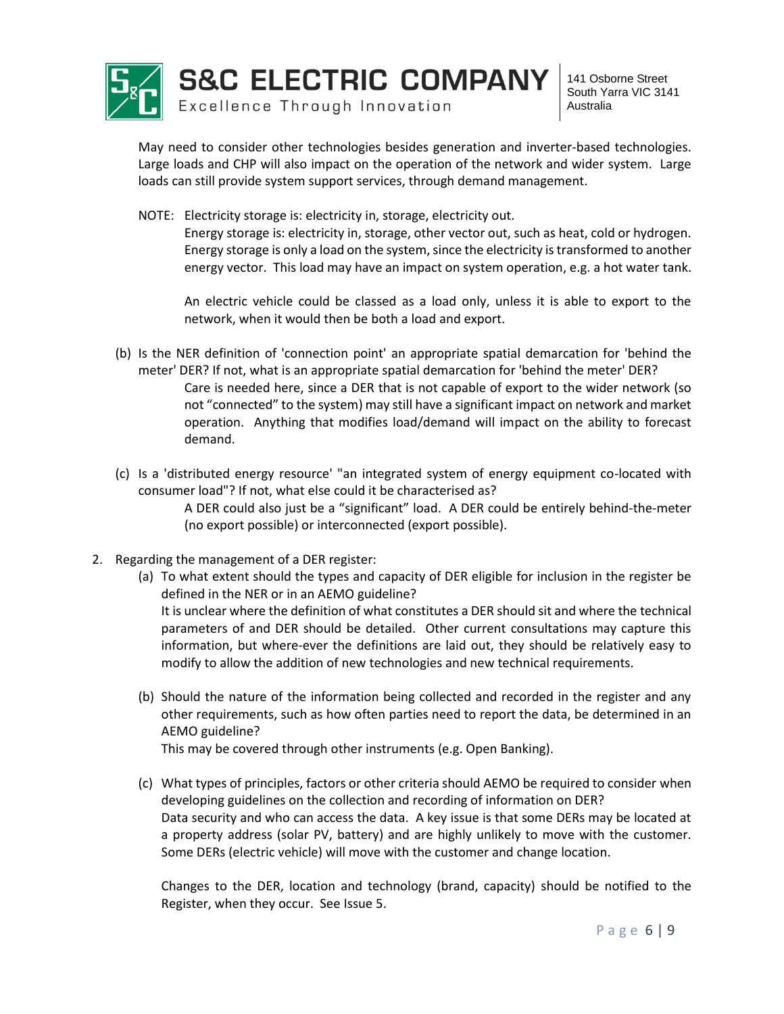

May need to consider other technologies besides generation and inverter-based technologies. Large loads and CHP will also impact on the operation of the network and wider system. Large loads can still provide system support services, through demand management.

NOTE: Electricity storage is: electricity in, storage, electricity out.

Energy storage is: electricity in, storage, other vector out, such as heat, cold or hydrogen. Energy storage is only a load on the system, since the electricity is transformed to another energy vector. This load may have an impact on system operation, e.g. a hot water tank.

An electric vehicle could be classed as a load only, unless it is able to export to the network, when it would then be both a load and export.

- (b) Is the NER definition of 'connection point' an appropriate spatial demarcation for 'behind the meter' DER? If not, what is an appropriate spatial demarcation for 'behind the meter' DER? Care is needed here, since a DER that is not capable of export to the wider network (so not "connected" to the system) may still have a significant impact on network and market operation. Anything that modifies load/demand will impact on the ability to forecast demand.
- (c) Is a 'distributed energy resource' "an integrated system of energy equipment co-located with consumer load"? If not, what else could it be characterised as? A DER could also just be a "significant" load. A DER could be entirely behind-the-meter
	- (no export possible) or interconnected (export possible).
- 2. Regarding the management of a DER register:
	- (a) To what extent should the types and capacity of DER eligible for inclusion in the register be defined in the NER or in an AEMO guideline? It is unclear where the definition of what constitutes a DER should sit and where the technical parameters of and DER should be detailed. Other current consultations may capture this information, but where-ever the definitions are laid out, they should be relatively easy to modify to allow the addition of new technologies and new technical requirements.
	- (b) Should the nature of the information being collected and recorded in the register and any other requirements, such as how often parties need to report the data, be determined in an AEMO guideline?

This may be covered through other instruments (e.g. Open Banking).

(c) What types of principles, factors or other criteria should AEMO be required to consider when developing guidelines on the collection and recording of information on DER? Data security and who can access the data. A key issue is that some DERs may be located at a property address (solar PV, battery) and are highly unlikely to move with the customer. Some DERs (electric vehicle) will move with the customer and change location.

Changes to the DER, location and technology (brand, capacity) should be notified to the Register, when they occur. See Issue 5.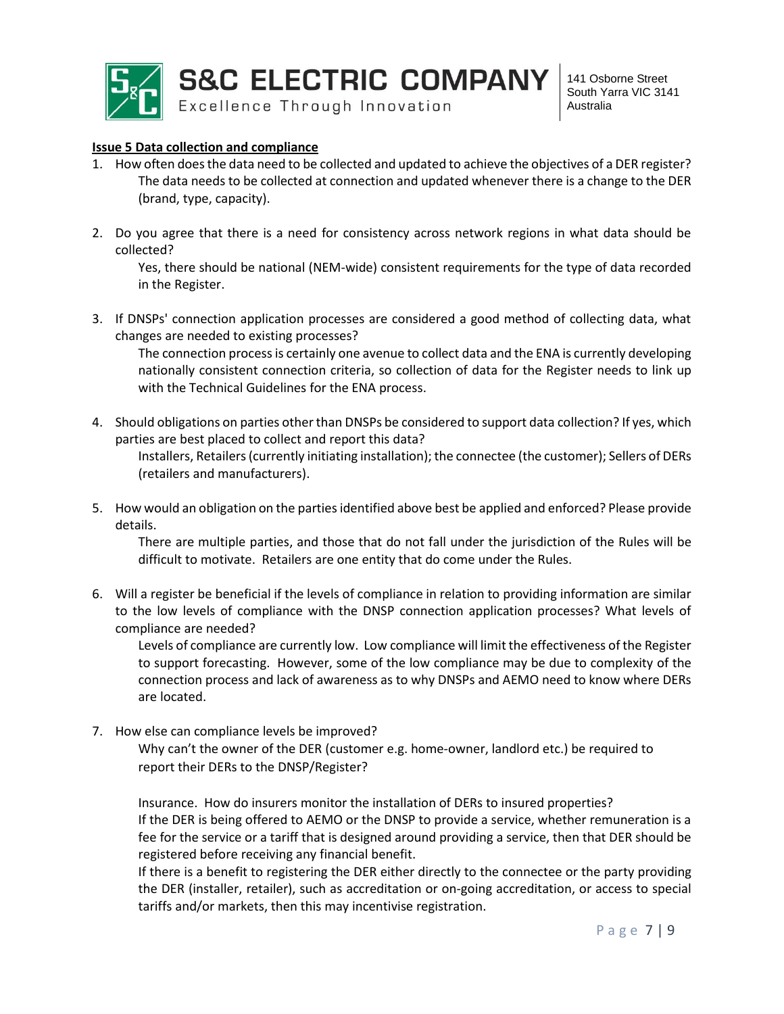

#### **Issue 5 Data collection and compliance**

- 1. How often does the data need to be collected and updated to achieve the objectives of a DER register? The data needs to be collected at connection and updated whenever there is a change to the DER (brand, type, capacity).
- 2. Do you agree that there is a need for consistency across network regions in what data should be collected?

Yes, there should be national (NEM-wide) consistent requirements for the type of data recorded in the Register.

3. If DNSPs' connection application processes are considered a good method of collecting data, what changes are needed to existing processes?

The connection process is certainly one avenue to collect data and the ENA is currently developing nationally consistent connection criteria, so collection of data for the Register needs to link up with the Technical Guidelines for the ENA process.

4. Should obligations on parties other than DNSPs be considered to support data collection? If yes, which parties are best placed to collect and report this data?

Installers, Retailers (currently initiating installation); the connectee (the customer); Sellers of DERs (retailers and manufacturers).

5. How would an obligation on the parties identified above best be applied and enforced? Please provide details.

There are multiple parties, and those that do not fall under the jurisdiction of the Rules will be difficult to motivate. Retailers are one entity that do come under the Rules.

6. Will a register be beneficial if the levels of compliance in relation to providing information are similar to the low levels of compliance with the DNSP connection application processes? What levels of compliance are needed?

Levels of compliance are currently low. Low compliance will limit the effectiveness of the Register to support forecasting. However, some of the low compliance may be due to complexity of the connection process and lack of awareness as to why DNSPs and AEMO need to know where DERs are located.

7. How else can compliance levels be improved?

Why can't the owner of the DER (customer e.g. home-owner, landlord etc.) be required to report their DERs to the DNSP/Register?

Insurance. How do insurers monitor the installation of DERs to insured properties? If the DER is being offered to AEMO or the DNSP to provide a service, whether remuneration is a fee for the service or a tariff that is designed around providing a service, then that DER should be registered before receiving any financial benefit.

If there is a benefit to registering the DER either directly to the connectee or the party providing the DER (installer, retailer), such as accreditation or on-going accreditation, or access to special tariffs and/or markets, then this may incentivise registration.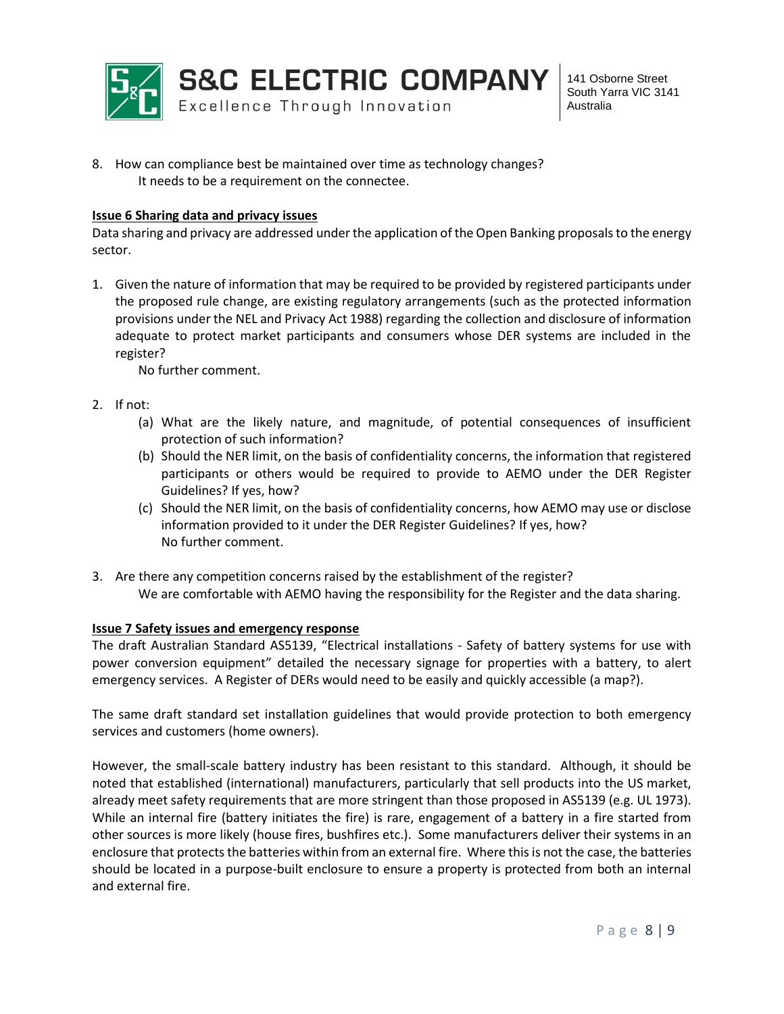

8. How can compliance best be maintained over time as technology changes? It needs to be a requirement on the connectee.

#### **Issue 6 Sharing data and privacy issues**

Data sharing and privacy are addressed under the application of the Open Banking proposals to the energy sector.

1. Given the nature of information that may be required to be provided by registered participants under the proposed rule change, are existing regulatory arrangements (such as the protected information provisions under the NEL and Privacy Act 1988) regarding the collection and disclosure of information adequate to protect market participants and consumers whose DER systems are included in the register?

No further comment.

- 2. If not:
	- (a) What are the likely nature, and magnitude, of potential consequences of insufficient protection of such information?
	- (b) Should the NER limit, on the basis of confidentiality concerns, the information that registered participants or others would be required to provide to AEMO under the DER Register Guidelines? If yes, how?
	- (c) Should the NER limit, on the basis of confidentiality concerns, how AEMO may use or disclose information provided to it under the DER Register Guidelines? If yes, how? No further comment.
- 3. Are there any competition concerns raised by the establishment of the register? We are comfortable with AEMO having the responsibility for the Register and the data sharing.

#### **Issue 7 Safety issues and emergency response**

The draft Australian Standard AS5139, "Electrical installations - Safety of battery systems for use with power conversion equipment" detailed the necessary signage for properties with a battery, to alert emergency services. A Register of DERs would need to be easily and quickly accessible (a map?).

The same draft standard set installation guidelines that would provide protection to both emergency services and customers (home owners).

However, the small-scale battery industry has been resistant to this standard. Although, it should be noted that established (international) manufacturers, particularly that sell products into the US market, already meet safety requirements that are more stringent than those proposed in AS5139 (e.g. UL 1973). While an internal fire (battery initiates the fire) is rare, engagement of a battery in a fire started from other sources is more likely (house fires, bushfires etc.). Some manufacturers deliver their systems in an enclosure that protects the batteries within from an external fire. Where this is not the case, the batteries should be located in a purpose-built enclosure to ensure a property is protected from both an internal and external fire.